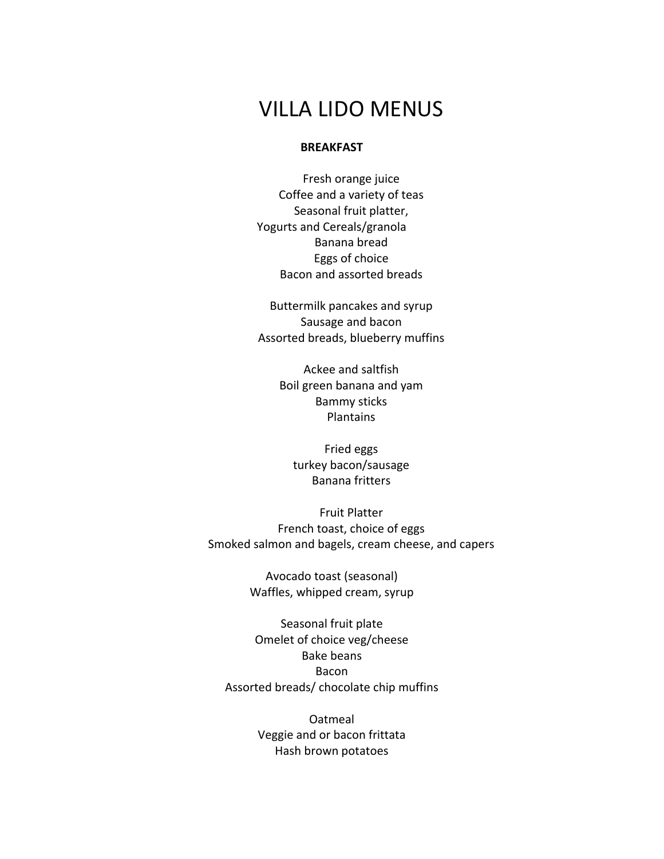# VILLA LIDO MENUS

## **BREAKFAST**

Fresh orange juice Coffee and a variety of teas Seasonal fruit platter, Yogurts and Cereals/granola Banana bread Eggs of choice Bacon and assorted breads

Buttermilk pancakes and syrup Sausage and bacon Assorted breads, blueberry muffins

> Ackee and saltfish Boil green banana and yam Bammy sticks Plantains

Fried eggs turkey bacon/sausage Banana fritters

Fruit Platter French toast, choice of eggs Smoked salmon and bagels, cream cheese, and capers

> Avocado toast (seasonal) Waffles, whipped cream, syrup

Seasonal fruit plate Omelet of choice veg/cheese Bake beans Bacon Assorted breads/ chocolate chip muffins

> Oatmeal Veggie and or bacon frittata Hash brown potatoes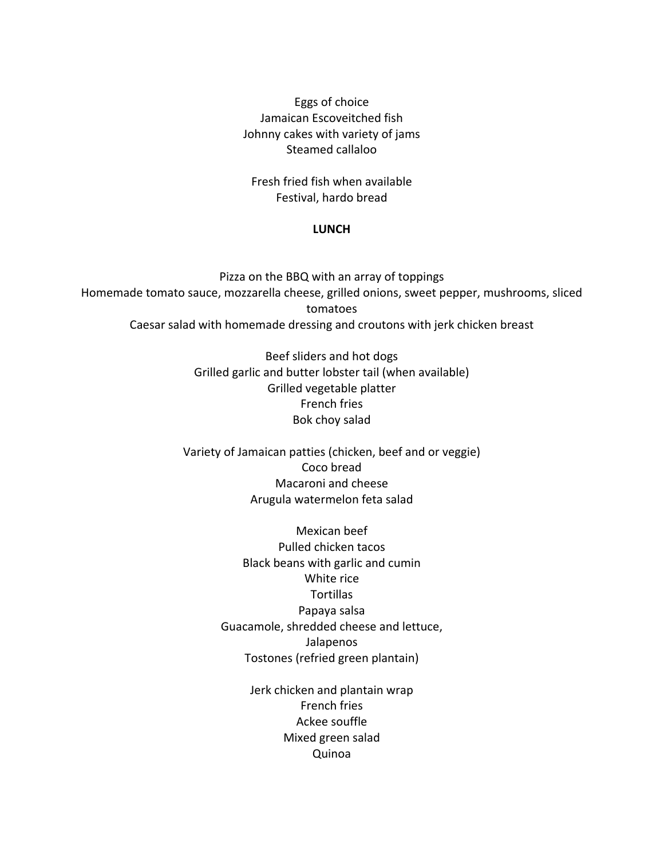Eggs of choice Jamaican Escoveitched fish Johnny cakes with variety of jams Steamed callaloo

Fresh fried fish when available Festival, hardo bread

#### **LUNCH**

Pizza on the BBQ with an array of toppings Homemade tomato sauce, mozzarella cheese, grilled onions, sweet pepper, mushrooms, sliced tomatoes Caesar salad with homemade dressing and croutons with jerk chicken breast

> Beef sliders and hot dogs Grilled garlic and butter lobster tail (when available) Grilled vegetable platter French fries Bok choy salad

Variety of Jamaican patties (chicken, beef and or veggie) Coco bread Macaroni and cheese Arugula watermelon feta salad

> Mexican beef Pulled chicken tacos Black beans with garlic and cumin White rice **Tortillas** Papaya salsa Guacamole, shredded cheese and lettuce, Jalapenos Tostones (refried green plantain)

> > Jerk chicken and plantain wrap French fries Ackee souffle Mixed green salad Quinoa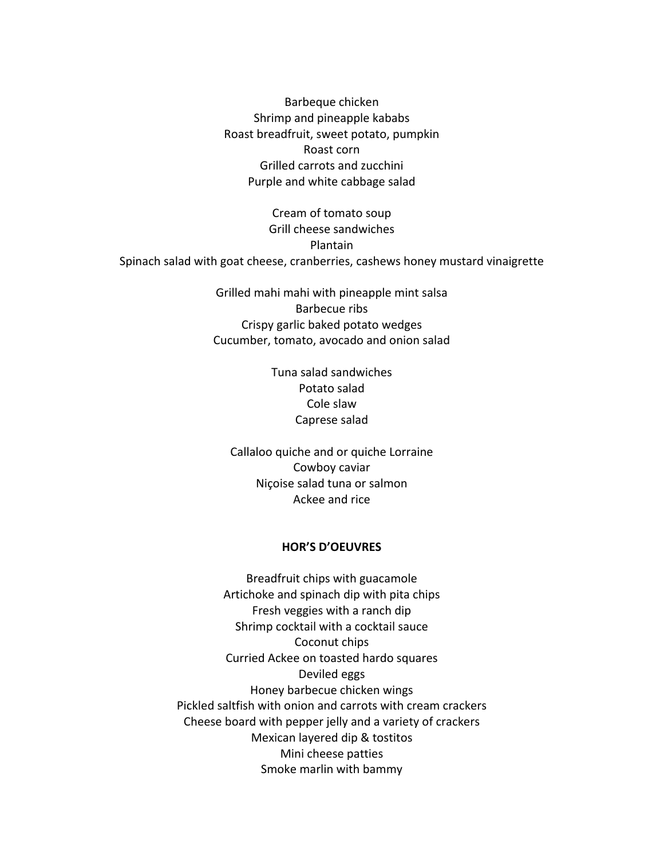Barbeque chicken Shrimp and pineapple kababs Roast breadfruit, sweet potato, pumpkin Roast corn Grilled carrots and zucchini Purple and white cabbage salad

Cream of tomato soup Grill cheese sandwiches Plantain Spinach salad with goat cheese, cranberries, cashews honey mustard vinaigrette

> Grilled mahi mahi with pineapple mint salsa Barbecue ribs Crispy garlic baked potato wedges Cucumber, tomato, avocado and onion salad

> > Tuna salad sandwiches Potato salad Cole slaw Caprese salad

Callaloo quiche and or quiche Lorraine Cowboy caviar Niçoise salad tuna or salmon Ackee and rice

### **HOR'S D'OEUVRES**

Breadfruit chips with guacamole Artichoke and spinach dip with pita chips Fresh veggies with a ranch dip Shrimp cocktail with a cocktail sauce Coconut chips Curried Ackee on toasted hardo squares Deviled eggs Honey barbecue chicken wings Pickled saltfish with onion and carrots with cream crackers Cheese board with pepper jelly and a variety of crackers Mexican layered dip & tostitos Mini cheese patties Smoke marlin with bammy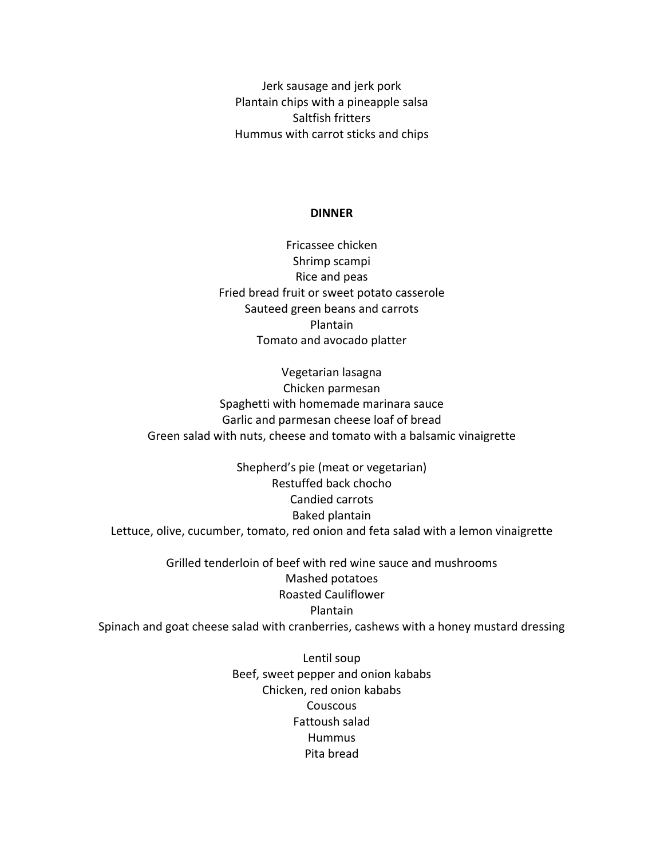Jerk sausage and jerk pork Plantain chips with a pineapple salsa Saltfish fritters Hummus with carrot sticks and chips

#### **DINNER**

Fricassee chicken Shrimp scampi Rice and peas Fried bread fruit or sweet potato casserole Sauteed green beans and carrots Plantain Tomato and avocado platter

Vegetarian lasagna Chicken parmesan Spaghetti with homemade marinara sauce Garlic and parmesan cheese loaf of bread Green salad with nuts, cheese and tomato with a balsamic vinaigrette

Shepherd's pie (meat or vegetarian) Restuffed back chocho Candied carrots Baked plantain Lettuce, olive, cucumber, tomato, red onion and feta salad with a lemon vinaigrette

Grilled tenderloin of beef with red wine sauce and mushrooms Mashed potatoes Roasted Cauliflower Plantain Spinach and goat cheese salad with cranberries, cashews with a honey mustard dressing

> Lentil soup Beef, sweet pepper and onion kababs Chicken, red onion kababs Couscous Fattoush salad Hummus Pita bread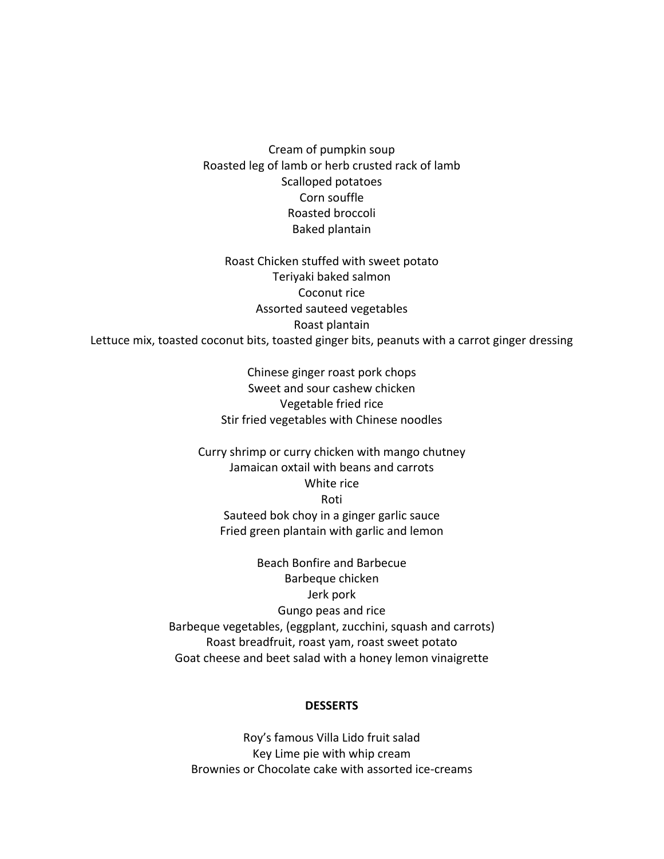Cream of pumpkin soup Roasted leg of lamb or herb crusted rack of lamb Scalloped potatoes Corn souffle Roasted broccoli Baked plantain

Roast Chicken stuffed with sweet potato Teriyaki baked salmon Coconut rice Assorted sauteed vegetables Roast plantain Lettuce mix, toasted coconut bits, toasted ginger bits, peanuts with a carrot ginger dressing

> Chinese ginger roast pork chops Sweet and sour cashew chicken Vegetable fried rice Stir fried vegetables with Chinese noodles

Curry shrimp or curry chicken with mango chutney Jamaican oxtail with beans and carrots White rice Roti Sauteed bok choy in a ginger garlic sauce Fried green plantain with garlic and lemon

Beach Bonfire and Barbecue Barbeque chicken Jerk pork Gungo peas and rice Barbeque vegetables, (eggplant, zucchini, squash and carrots) Roast breadfruit, roast yam, roast sweet potato Goat cheese and beet salad with a honey lemon vinaigrette

## **DESSERTS**

Roy's famous Villa Lido fruit salad Key Lime pie with whip cream Brownies or Chocolate cake with assorted ice-creams